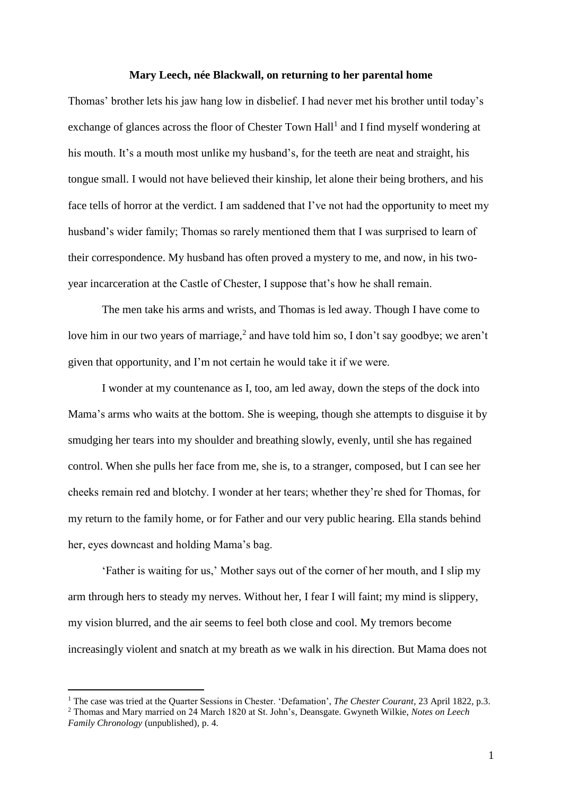## **Mary Leech, née Blackwall, on returning to her parental home**

Thomas' brother lets his jaw hang low in disbelief. I had never met his brother until today's exchange of glances across the floor of Chester Town Hall<sup>1</sup> and I find myself wondering at his mouth. It's a mouth most unlike my husband's, for the teeth are neat and straight, his tongue small. I would not have believed their kinship, let alone their being brothers, and his face tells of horror at the verdict. I am saddened that I've not had the opportunity to meet my husband's wider family; Thomas so rarely mentioned them that I was surprised to learn of their correspondence. My husband has often proved a mystery to me, and now, in his twoyear incarceration at the Castle of Chester, I suppose that's how he shall remain.

The men take his arms and wrists, and Thomas is led away. Though I have come to love him in our two years of marriage,<sup>2</sup> and have told him so, I don't say goodbye; we aren't given that opportunity, and I'm not certain he would take it if we were.

I wonder at my countenance as I, too, am led away, down the steps of the dock into Mama's arms who waits at the bottom. She is weeping, though she attempts to disguise it by smudging her tears into my shoulder and breathing slowly, evenly, until she has regained control. When she pulls her face from me, she is, to a stranger, composed, but I can see her cheeks remain red and blotchy. I wonder at her tears; whether they're shed for Thomas, for my return to the family home, or for Father and our very public hearing. Ella stands behind her, eyes downcast and holding Mama's bag.

'Father is waiting for us,' Mother says out of the corner of her mouth, and I slip my arm through hers to steady my nerves. Without her, I fear I will faint; my mind is slippery, my vision blurred, and the air seems to feel both close and cool. My tremors become increasingly violent and snatch at my breath as we walk in his direction. But Mama does not

 $\overline{a}$ 

<sup>&</sup>lt;sup>1</sup> The case was tried at the Quarter Sessions in Chester. 'Defamation', *The Chester Courant*, 23 April 1822, p.3. <sup>2</sup> Thomas and Mary married on 24 March 1820 at St. John's, Deansgate. Gwyneth Wilkie, *Notes on Leech Family Chronology* (unpublished), p. 4.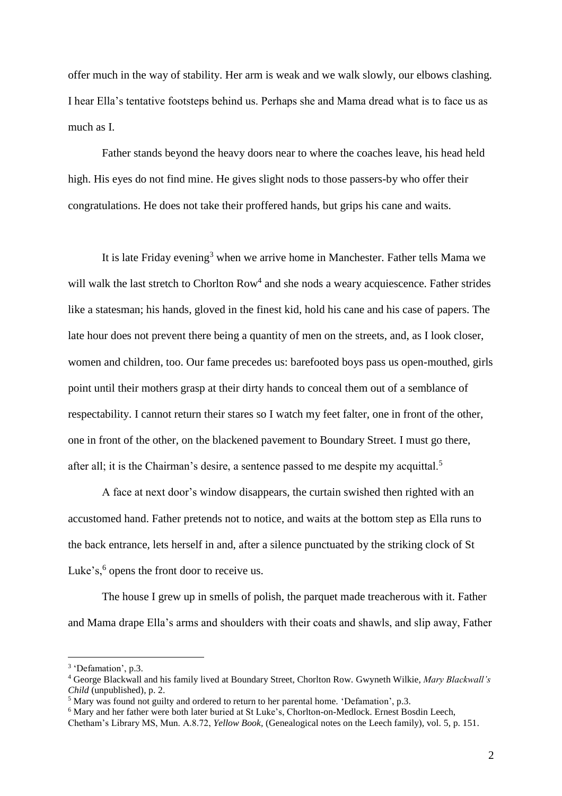offer much in the way of stability. Her arm is weak and we walk slowly, our elbows clashing. I hear Ella's tentative footsteps behind us. Perhaps she and Mama dread what is to face us as much as I.

Father stands beyond the heavy doors near to where the coaches leave, his head held high. His eyes do not find mine. He gives slight nods to those passers-by who offer their congratulations. He does not take their proffered hands, but grips his cane and waits.

It is late Friday evening<sup>3</sup> when we arrive home in Manchester. Father tells Mama we will walk the last stretch to Chorlton Row<sup>4</sup> and she nods a weary acquiescence. Father strides like a statesman; his hands, gloved in the finest kid, hold his cane and his case of papers. The late hour does not prevent there being a quantity of men on the streets, and, as I look closer, women and children, too. Our fame precedes us: barefooted boys pass us open-mouthed, girls point until their mothers grasp at their dirty hands to conceal them out of a semblance of respectability. I cannot return their stares so I watch my feet falter, one in front of the other, one in front of the other, on the blackened pavement to Boundary Street. I must go there, after all; it is the Chairman's desire, a sentence passed to me despite my acquittal.<sup>5</sup>

A face at next door's window disappears, the curtain swished then righted with an accustomed hand. Father pretends not to notice, and waits at the bottom step as Ella runs to the back entrance, lets herself in and, after a silence punctuated by the striking clock of St Luke's, $6$  opens the front door to receive us.

The house I grew up in smells of polish, the parquet made treacherous with it. Father and Mama drape Ella's arms and shoulders with their coats and shawls, and slip away, Father

l

<sup>&</sup>lt;sup>3</sup> 'Defamation', p.3.

<sup>4</sup> George Blackwall and his family lived at Boundary Street, Chorlton Row. Gwyneth Wilkie, *Mary Blackwall's Child* (unpublished), p. 2.

<sup>5</sup> Mary was found not guilty and ordered to return to her parental home. 'Defamation', p.3.

<sup>6</sup> Mary and her father were both later buried at St Luke's, Chorlton-on-Medlock. Ernest Bosdin Leech,

Chetham's Library MS, Mun. A.8.72, *Yellow Book,* (Genealogical notes on the Leech family), vol. 5, p. 151.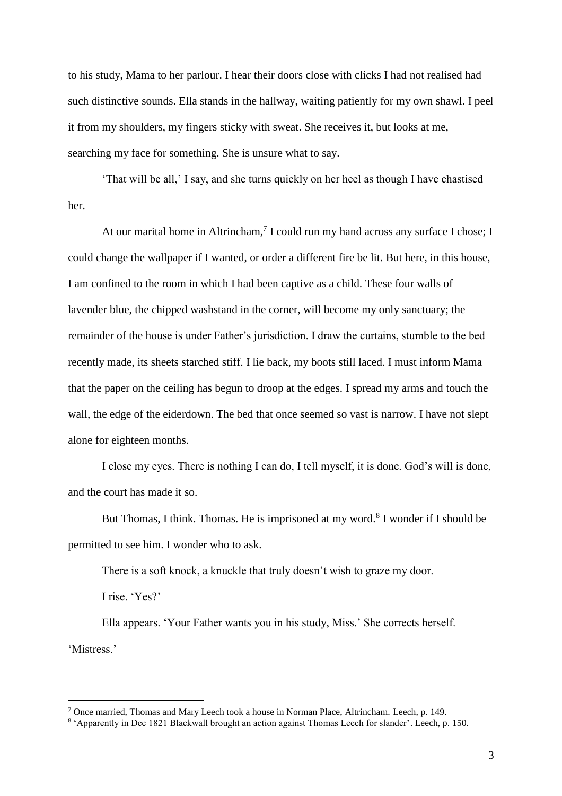to his study, Mama to her parlour. I hear their doors close with clicks I had not realised had such distinctive sounds. Ella stands in the hallway, waiting patiently for my own shawl. I peel it from my shoulders, my fingers sticky with sweat. She receives it, but looks at me, searching my face for something. She is unsure what to say.

'That will be all,' I say, and she turns quickly on her heel as though I have chastised her.

At our marital home in Altrincham,<sup>7</sup> I could run my hand across any surface I chose; I could change the wallpaper if I wanted, or order a different fire be lit. But here, in this house, I am confined to the room in which I had been captive as a child. These four walls of lavender blue, the chipped washstand in the corner, will become my only sanctuary; the remainder of the house is under Father's jurisdiction. I draw the curtains, stumble to the bed recently made, its sheets starched stiff. I lie back, my boots still laced. I must inform Mama that the paper on the ceiling has begun to droop at the edges. I spread my arms and touch the wall, the edge of the eiderdown. The bed that once seemed so vast is narrow. I have not slept alone for eighteen months.

I close my eyes. There is nothing I can do, I tell myself, it is done. God's will is done, and the court has made it so.

But Thomas, I think. Thomas. He is imprisoned at my word.<sup>8</sup> I wonder if I should be permitted to see him. I wonder who to ask.

There is a soft knock, a knuckle that truly doesn't wish to graze my door.

I rise. 'Yes?'

 $\overline{a}$ 

Ella appears. 'Your Father wants you in his study, Miss.' She corrects herself. 'Mistress.'

<sup>7</sup> Once married, Thomas and Mary Leech took a house in Norman Place, Altrincham. Leech, p. 149.

<sup>8</sup> 'Apparently in Dec 1821 Blackwall brought an action against Thomas Leech for slander'. Leech, p. 150.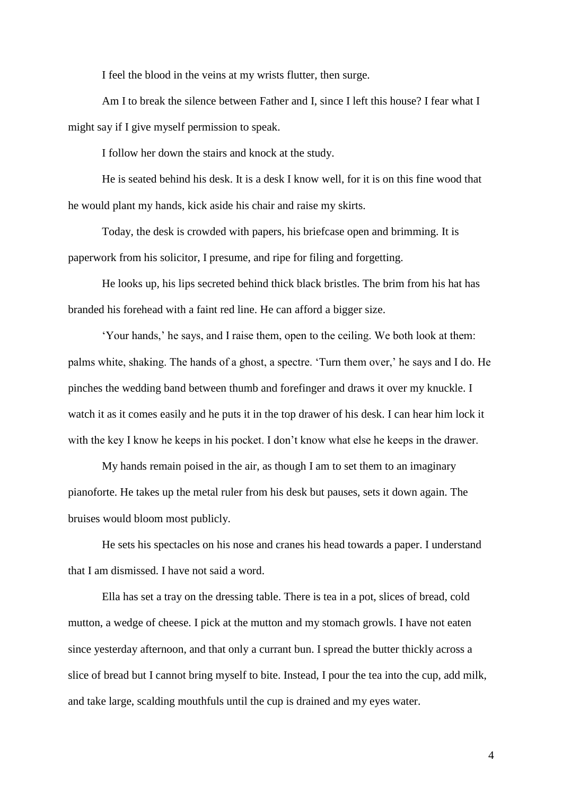I feel the blood in the veins at my wrists flutter, then surge.

Am I to break the silence between Father and I, since I left this house? I fear what I might say if I give myself permission to speak.

I follow her down the stairs and knock at the study.

He is seated behind his desk. It is a desk I know well, for it is on this fine wood that he would plant my hands, kick aside his chair and raise my skirts.

Today, the desk is crowded with papers, his briefcase open and brimming. It is paperwork from his solicitor, I presume, and ripe for filing and forgetting.

He looks up, his lips secreted behind thick black bristles. The brim from his hat has branded his forehead with a faint red line. He can afford a bigger size.

'Your hands,' he says, and I raise them, open to the ceiling. We both look at them: palms white, shaking. The hands of a ghost, a spectre. 'Turn them over,' he says and I do. He pinches the wedding band between thumb and forefinger and draws it over my knuckle. I watch it as it comes easily and he puts it in the top drawer of his desk. I can hear him lock it with the key I know he keeps in his pocket. I don't know what else he keeps in the drawer.

My hands remain poised in the air, as though I am to set them to an imaginary pianoforte. He takes up the metal ruler from his desk but pauses, sets it down again. The bruises would bloom most publicly.

He sets his spectacles on his nose and cranes his head towards a paper. I understand that I am dismissed. I have not said a word.

Ella has set a tray on the dressing table. There is tea in a pot, slices of bread, cold mutton, a wedge of cheese. I pick at the mutton and my stomach growls. I have not eaten since yesterday afternoon, and that only a currant bun. I spread the butter thickly across a slice of bread but I cannot bring myself to bite. Instead, I pour the tea into the cup, add milk, and take large, scalding mouthfuls until the cup is drained and my eyes water.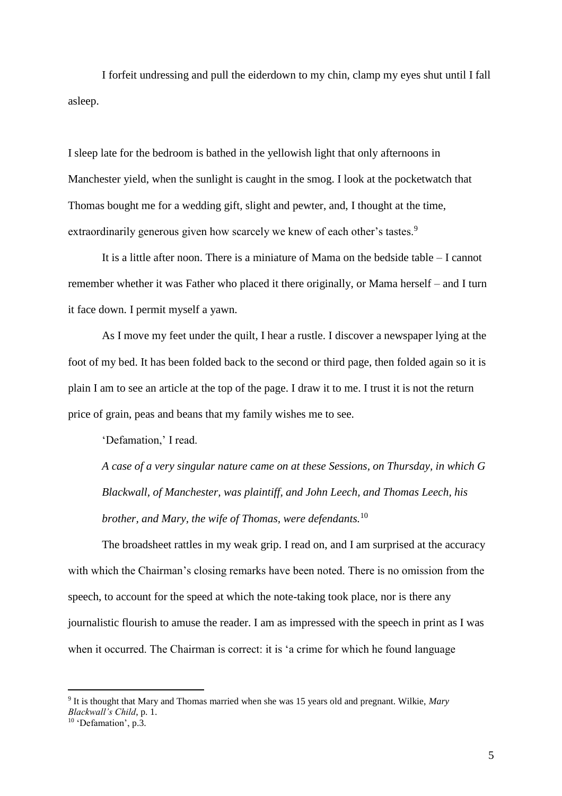I forfeit undressing and pull the eiderdown to my chin, clamp my eyes shut until I fall asleep.

I sleep late for the bedroom is bathed in the yellowish light that only afternoons in Manchester yield, when the sunlight is caught in the smog. I look at the pocketwatch that Thomas bought me for a wedding gift, slight and pewter, and, I thought at the time, extraordinarily generous given how scarcely we knew of each other's tastes.<sup>9</sup>

It is a little after noon. There is a miniature of Mama on the bedside table – I cannot remember whether it was Father who placed it there originally, or Mama herself – and I turn it face down. I permit myself a yawn.

As I move my feet under the quilt, I hear a rustle. I discover a newspaper lying at the foot of my bed. It has been folded back to the second or third page, then folded again so it is plain I am to see an article at the top of the page. I draw it to me. I trust it is not the return price of grain, peas and beans that my family wishes me to see.

'Defamation,' I read.

*A case of a very singular nature came on at these Sessions, on Thursday, in which G Blackwall, of Manchester, was plaintiff, and John Leech, and Thomas Leech, his brother, and Mary, the wife of Thomas, were defendants.*<sup>10</sup>

The broadsheet rattles in my weak grip. I read on, and I am surprised at the accuracy with which the Chairman's closing remarks have been noted. There is no omission from the speech, to account for the speed at which the note-taking took place, nor is there any journalistic flourish to amuse the reader. I am as impressed with the speech in print as I was when it occurred. The Chairman is correct: it is 'a crime for which he found language

 $\overline{a}$ 

<sup>9</sup> It is thought that Mary and Thomas married when she was 15 years old and pregnant. Wilkie, *Mary Blackwall's Child*, p. 1.

 $10$  'Defamation', p.3.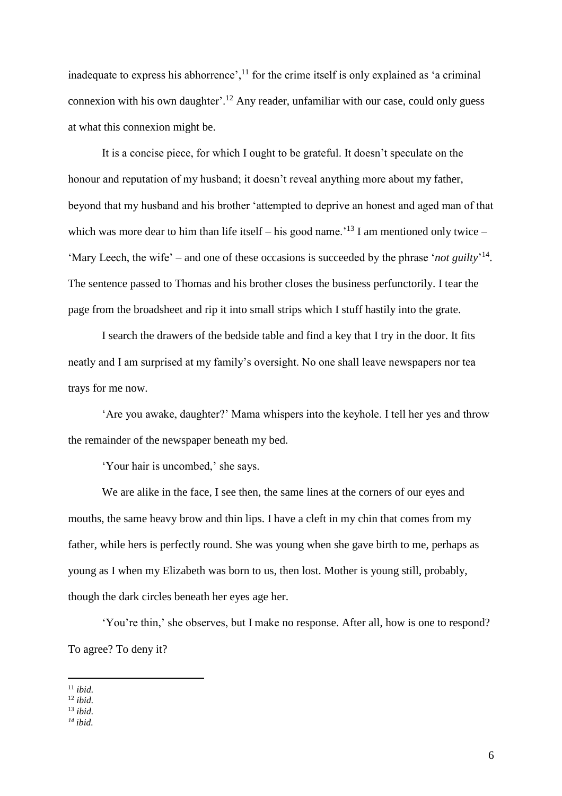inadequate to express his abhorrence', $^{11}$  for the crime itself is only explained as 'a criminal connexion with his own daughter'.<sup>12</sup> Any reader, unfamiliar with our case, could only guess at what this connexion might be.

It is a concise piece, for which I ought to be grateful. It doesn't speculate on the honour and reputation of my husband; it doesn't reveal anything more about my father, beyond that my husband and his brother 'attempted to deprive an honest and aged man of that which was more dear to him than life itself – his good name.<sup>13</sup> I am mentioned only twice – 'Mary Leech, the wife' – and one of these occasions is succeeded by the phrase '*not guilty*<sup>'14</sup>. The sentence passed to Thomas and his brother closes the business perfunctorily. I tear the page from the broadsheet and rip it into small strips which I stuff hastily into the grate.

I search the drawers of the bedside table and find a key that I try in the door. It fits neatly and I am surprised at my family's oversight. No one shall leave newspapers nor tea trays for me now.

'Are you awake, daughter?' Mama whispers into the keyhole. I tell her yes and throw the remainder of the newspaper beneath my bed.

'Your hair is uncombed,' she says.

We are alike in the face, I see then, the same lines at the corners of our eyes and mouths, the same heavy brow and thin lips. I have a cleft in my chin that comes from my father, while hers is perfectly round. She was young when she gave birth to me, perhaps as young as I when my Elizabeth was born to us, then lost. Mother is young still, probably, though the dark circles beneath her eyes age her.

'You're thin,' she observes, but I make no response. After all, how is one to respond? To agree? To deny it?

l

<sup>11</sup> *ibid.*

<sup>12</sup> *ibid.*

<sup>13</sup> *ibid.*

*<sup>14</sup> ibid.*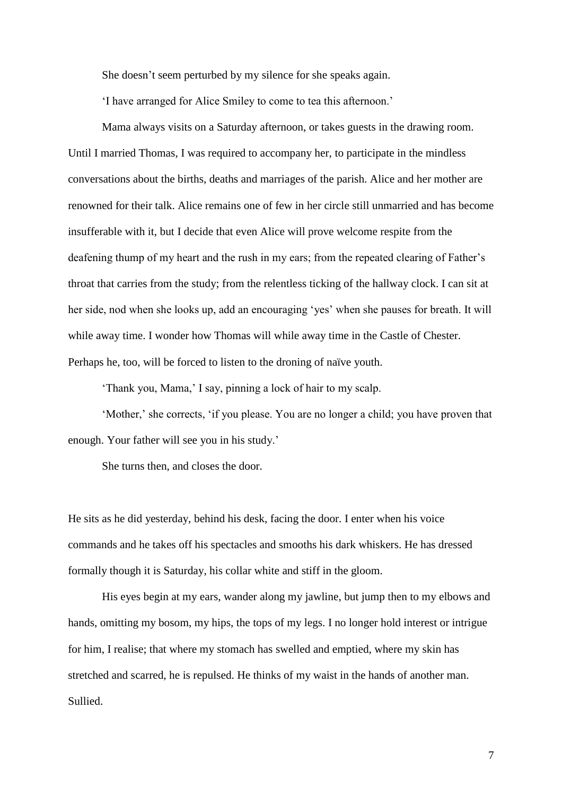She doesn't seem perturbed by my silence for she speaks again.

'I have arranged for Alice Smiley to come to tea this afternoon.'

Mama always visits on a Saturday afternoon, or takes guests in the drawing room. Until I married Thomas, I was required to accompany her, to participate in the mindless conversations about the births, deaths and marriages of the parish. Alice and her mother are renowned for their talk. Alice remains one of few in her circle still unmarried and has become insufferable with it, but I decide that even Alice will prove welcome respite from the deafening thump of my heart and the rush in my ears; from the repeated clearing of Father's throat that carries from the study; from the relentless ticking of the hallway clock. I can sit at her side, nod when she looks up, add an encouraging 'yes' when she pauses for breath. It will while away time. I wonder how Thomas will while away time in the Castle of Chester. Perhaps he, too, will be forced to listen to the droning of naïve youth.

'Thank you, Mama,' I say, pinning a lock of hair to my scalp.

'Mother,' she corrects, 'if you please. You are no longer a child; you have proven that enough. Your father will see you in his study.'

She turns then, and closes the door.

He sits as he did yesterday, behind his desk, facing the door. I enter when his voice commands and he takes off his spectacles and smooths his dark whiskers. He has dressed formally though it is Saturday, his collar white and stiff in the gloom.

His eyes begin at my ears, wander along my jawline, but jump then to my elbows and hands, omitting my bosom, my hips, the tops of my legs. I no longer hold interest or intrigue for him, I realise; that where my stomach has swelled and emptied, where my skin has stretched and scarred, he is repulsed. He thinks of my waist in the hands of another man. Sullied.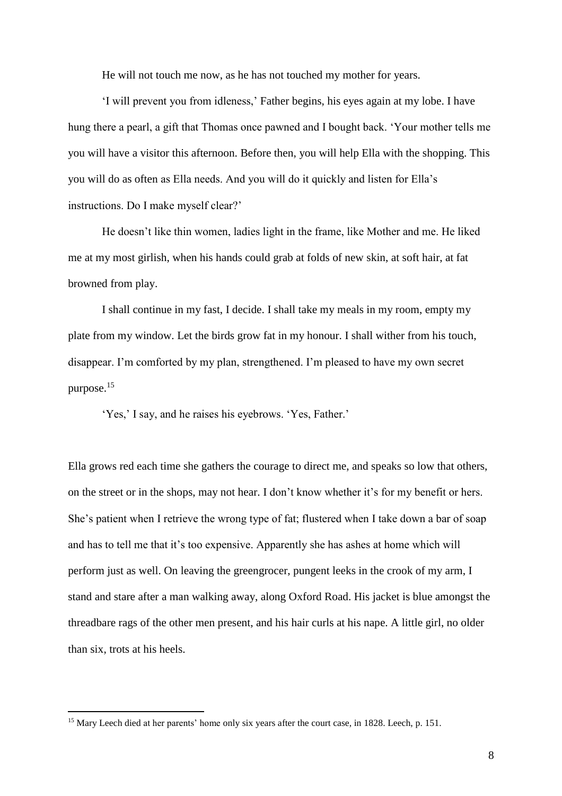He will not touch me now, as he has not touched my mother for years.

'I will prevent you from idleness,' Father begins, his eyes again at my lobe. I have hung there a pearl, a gift that Thomas once pawned and I bought back. 'Your mother tells me you will have a visitor this afternoon. Before then, you will help Ella with the shopping. This you will do as often as Ella needs. And you will do it quickly and listen for Ella's instructions. Do I make myself clear?'

He doesn't like thin women, ladies light in the frame, like Mother and me. He liked me at my most girlish, when his hands could grab at folds of new skin, at soft hair, at fat browned from play.

I shall continue in my fast, I decide. I shall take my meals in my room, empty my plate from my window. Let the birds grow fat in my honour. I shall wither from his touch, disappear. I'm comforted by my plan, strengthened. I'm pleased to have my own secret purpose.<sup>15</sup>

'Yes,' I say, and he raises his eyebrows. 'Yes, Father.'

Ella grows red each time she gathers the courage to direct me, and speaks so low that others, on the street or in the shops, may not hear. I don't know whether it's for my benefit or hers. She's patient when I retrieve the wrong type of fat; flustered when I take down a bar of soap and has to tell me that it's too expensive. Apparently she has ashes at home which will perform just as well. On leaving the greengrocer, pungent leeks in the crook of my arm, I stand and stare after a man walking away, along Oxford Road. His jacket is blue amongst the threadbare rags of the other men present, and his hair curls at his nape. A little girl, no older than six, trots at his heels.

 $\overline{a}$ 

<sup>&</sup>lt;sup>15</sup> Mary Leech died at her parents' home only six years after the court case, in 1828. Leech, p. 151.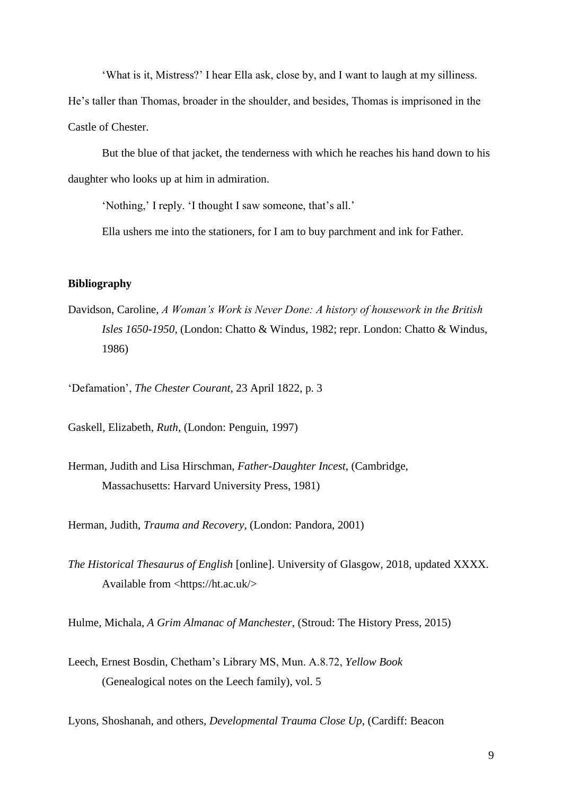'What is it, Mistress?' I hear Ella ask, close by, and I want to laugh at my silliness.

He's taller than Thomas, broader in the shoulder, and besides, Thomas is imprisoned in the Castle of Chester.

But the blue of that jacket, the tenderness with which he reaches his hand down to his daughter who looks up at him in admiration.

'Nothing,' I reply. 'I thought I saw someone, that's all.'

Ella ushers me into the stationers, for I am to buy parchment and ink for Father.

## **Bibliography**

Davidson, Caroline, *A Woman's Work is Never Done: A history of housework in the British Isles 1650-1950,* (London: Chatto & Windus, 1982; repr. London: Chatto & Windus, 1986)

'Defamation', *The Chester Courant*, 23 April 1822, p. 3

Gaskell, Elizabeth, *Ruth*, (London: Penguin, 1997)

Herman, Judith and Lisa Hirschman, *Father-Daughter Incest*, (Cambridge, Massachusetts: Harvard University Press, 1981)

Herman, Judith, *Trauma and Recovery*, (London: Pandora, 2001)

*The Historical Thesaurus of English* [online]. University of Glasgow, 2018, updated XXXX. Available from <https://ht.ac.uk/>

Hulme, Michala, *A Grim Almanac of Manchester*, (Stroud: The History Press, 2015)

Leech, Ernest Bosdin, Chetham's Library MS, Mun. A.8.72, *Yellow Book* (Genealogical notes on the Leech family), vol. 5

Lyons, Shoshanah, and others, *Developmental Trauma Close Up*, (Cardiff: Beacon